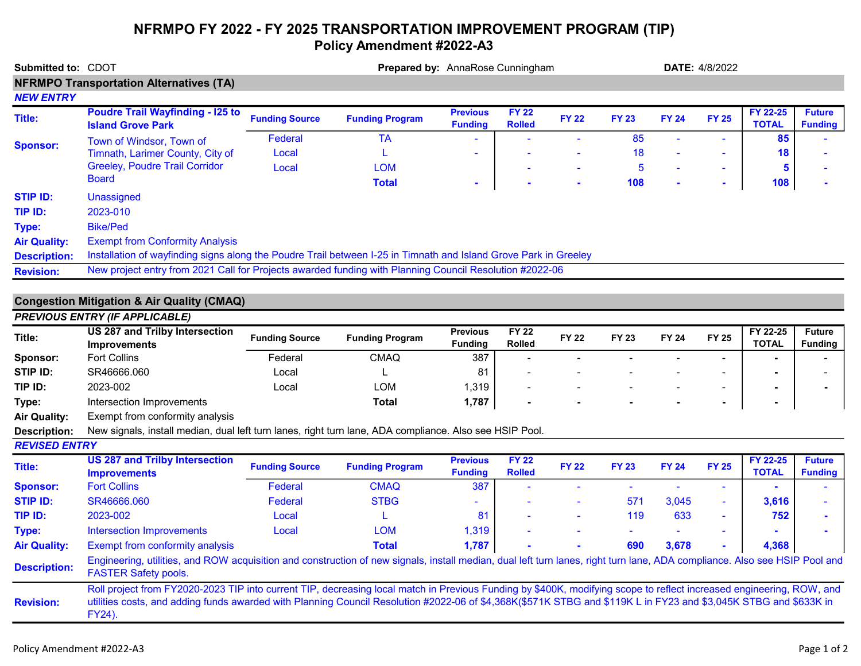## NFRMPO FY 2022 - FY 2025 TRANSPORTATION IMPROVEMENT PROGRAM (TIP) Policy Amendment #2022-A3

| Submitted to: CDOT   | Prepared by: AnnaRose Cunningham                                                                                                                                                                          |                       |                        |                                   |                               |              | <b>DATE: 4/8/2022</b> |              |                |                          |                                 |  |
|----------------------|-----------------------------------------------------------------------------------------------------------------------------------------------------------------------------------------------------------|-----------------------|------------------------|-----------------------------------|-------------------------------|--------------|-----------------------|--------------|----------------|--------------------------|---------------------------------|--|
|                      | <b>NFRMPO Transportation Alternatives (TA)</b>                                                                                                                                                            |                       |                        |                                   |                               |              |                       |              |                |                          |                                 |  |
| <b>NEW ENTRY</b>     |                                                                                                                                                                                                           |                       |                        |                                   |                               |              |                       |              |                |                          |                                 |  |
| <b>Title:</b>        | <b>Poudre Trail Wayfinding - I25 to</b><br><b>Island Grove Park</b>                                                                                                                                       | <b>Funding Source</b> | <b>Funding Program</b> | <b>Previous</b><br><b>Funding</b> | <b>FY 22</b><br><b>Rolled</b> | <b>FY 22</b> | <b>FY 23</b>          | <b>FY 24</b> | <b>FY 25</b>   | FY 22-25<br><b>TOTAL</b> | <b>Future</b><br><b>Funding</b> |  |
| <b>Sponsor:</b>      | Town of Windsor, Town of                                                                                                                                                                                  | Federal               | <b>TA</b>              |                                   |                               |              | 85                    |              |                | 85                       |                                 |  |
|                      | Timnath, Larimer County, City of                                                                                                                                                                          | Local                 |                        |                                   |                               |              | 18                    |              | $\blacksquare$ | 18                       |                                 |  |
|                      | <b>Greeley, Poudre Trail Corridor</b>                                                                                                                                                                     | Local                 | <b>LOM</b>             |                                   |                               |              | 5                     |              | $\blacksquare$ | 5                        |                                 |  |
|                      | <b>Board</b>                                                                                                                                                                                              |                       | <b>Total</b>           |                                   |                               |              | 108                   |              | ä,             | 108                      |                                 |  |
| <b>STIP ID:</b>      | Unassigned                                                                                                                                                                                                |                       |                        |                                   |                               |              |                       |              |                |                          |                                 |  |
| TIP ID:              | 2023-010                                                                                                                                                                                                  |                       |                        |                                   |                               |              |                       |              |                |                          |                                 |  |
| Type:                | <b>Bike/Ped</b>                                                                                                                                                                                           |                       |                        |                                   |                               |              |                       |              |                |                          |                                 |  |
| <b>Air Quality:</b>  | <b>Exempt from Conformity Analysis</b>                                                                                                                                                                    |                       |                        |                                   |                               |              |                       |              |                |                          |                                 |  |
| <b>Description:</b>  | Installation of wayfinding signs along the Poudre Trail between I-25 in Timnath and Island Grove Park in Greeley                                                                                          |                       |                        |                                   |                               |              |                       |              |                |                          |                                 |  |
| <b>Revision:</b>     | New project entry from 2021 Call for Projects awarded funding with Planning Council Resolution #2022-06                                                                                                   |                       |                        |                                   |                               |              |                       |              |                |                          |                                 |  |
|                      |                                                                                                                                                                                                           |                       |                        |                                   |                               |              |                       |              |                |                          |                                 |  |
|                      | <b>Congestion Mitigation &amp; Air Quality (CMAQ)</b>                                                                                                                                                     |                       |                        |                                   |                               |              |                       |              |                |                          |                                 |  |
|                      | <b>PREVIOUS ENTRY (IF APPLICABLE)</b>                                                                                                                                                                     |                       |                        |                                   |                               |              |                       |              |                |                          |                                 |  |
| Title:               | <b>US 287 and Trilby Intersection</b><br><b>Improvements</b>                                                                                                                                              | <b>Funding Source</b> | <b>Funding Program</b> | <b>Previous</b><br><b>Funding</b> | <b>FY 22</b><br><b>Rolled</b> | <b>FY 22</b> | <b>FY 23</b>          | <b>FY 24</b> | <b>FY 25</b>   | FY 22-25<br><b>TOTAL</b> | <b>Future</b><br><b>Funding</b> |  |
| Sponsor:             | <b>Fort Collins</b>                                                                                                                                                                                       | Federal               | <b>CMAQ</b>            | 387                               |                               |              |                       |              |                |                          |                                 |  |
| STIP ID:             | SR46666.060                                                                                                                                                                                               | Local                 |                        | 81                                |                               |              |                       |              |                |                          |                                 |  |
| TIP ID:              | 2023-002                                                                                                                                                                                                  | Local                 | <b>LOM</b>             | 1,319                             |                               |              |                       |              | $\blacksquare$ |                          |                                 |  |
| Type:                | Intersection Improvements                                                                                                                                                                                 |                       | <b>Total</b>           | 1,787                             |                               |              |                       |              | $\blacksquare$ |                          |                                 |  |
| <b>Air Quality:</b>  | Exempt from conformity analysis                                                                                                                                                                           |                       |                        |                                   |                               |              |                       |              |                |                          |                                 |  |
| <b>Description:</b>  | New signals, install median, dual left turn lanes, right turn lane, ADA compliance. Also see HSIP Pool.                                                                                                   |                       |                        |                                   |                               |              |                       |              |                |                          |                                 |  |
| <b>REVISED ENTRY</b> |                                                                                                                                                                                                           |                       |                        |                                   |                               |              |                       |              |                |                          |                                 |  |
| Title:               | <b>US 287 and Trilby Intersection</b><br><b>Improvements</b>                                                                                                                                              | <b>Funding Source</b> | <b>Funding Program</b> | <b>Previous</b><br><b>Funding</b> | <b>FY 22</b><br><b>Rolled</b> | <b>FY 22</b> | <b>FY 23</b>          | <b>FY 24</b> | <b>FY 25</b>   | FY 22-25<br><b>TOTAL</b> | <b>Future</b><br><b>Funding</b> |  |
| <b>Sponsor:</b>      | <b>Fort Collins</b>                                                                                                                                                                                       | Federal               | <b>CMAQ</b>            | 387                               |                               |              |                       |              | ÷              |                          |                                 |  |
| <b>STIP ID:</b>      | SR46666.060                                                                                                                                                                                               | Federal               | <b>STBG</b>            |                                   |                               |              | 571                   | 3,045        | $\blacksquare$ | 3,616                    |                                 |  |
| TIP ID:              | 2023-002                                                                                                                                                                                                  | Local                 |                        | 81                                |                               |              | 119                   | 633          | $\sim$         | 752                      |                                 |  |
| Type:                | <b>Intersection Improvements</b>                                                                                                                                                                          | Local                 | <b>LOM</b>             | 1,319                             |                               |              |                       |              |                |                          |                                 |  |
| <b>Air Quality:</b>  | Exempt from conformity analysis                                                                                                                                                                           |                       | <b>Total</b>           | 1,787                             |                               |              | 690                   | 3,678        |                | 4,368                    |                                 |  |
| <b>Description:</b>  | Engineering, utilities, and ROW acquisition and construction of new signals, install median, dual left turn lanes, right turn lane, ADA compliance. Also see HSIP Pool and<br><b>FASTER Safety pools.</b> |                       |                        |                                   |                               |              |                       |              |                |                          |                                 |  |

Revision: Roll project from FY2020-2023 TIP into current TIP, decreasing local match in Previous Funding by \$400K, modifying scope to reflect increased engineering, ROW, and utilities costs, and adding funds awarded with Planning Council Resolution #2022-06 of \$4,368K(\$571K STBG and \$119K L in FY23 and \$3,045K STBG and \$633K in FY24).